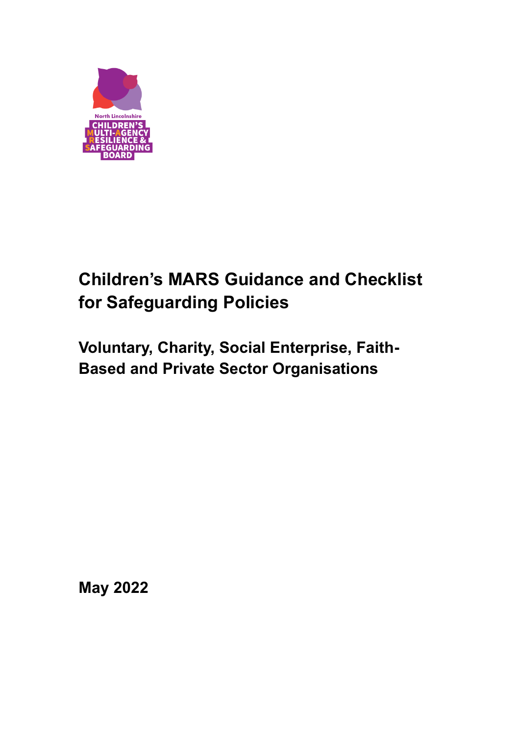

# **Children's MARS Guidance and Checklist for Safeguarding Policies**

## **Voluntary, Charity, Social Enterprise, Faith-Based and Private Sector Organisations**

**May 2022**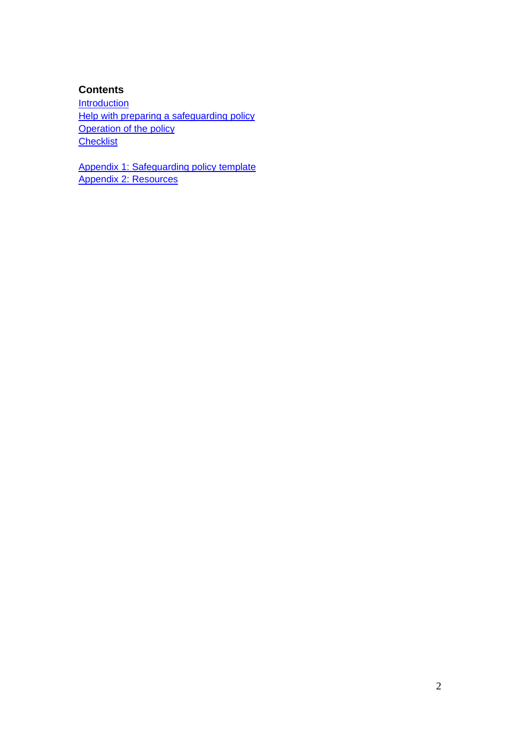#### **Contents**

**[Introduction](#page-2-0)** [Help with preparing a](#page-3-0) safeguarding policy **[Operation of the policy](#page-3-1) [Checklist](#page-3-2)** 

[Appendix 1: Safeguarding policy](#page-5-0) template [Appendix 2: Resources](#page-10-0)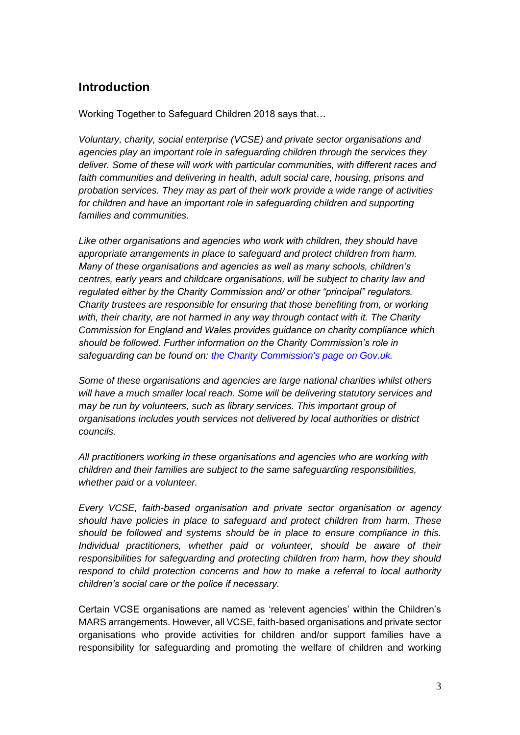## <span id="page-2-0"></span>**Introduction**

Working Together to Safeguard Children 2018 says that…

*Voluntary, charity, social enterprise (VCSE) and private sector organisations and agencies play an important role in safeguarding children through the services they deliver. Some of these will work with particular communities, with different races and faith communities and delivering in health, adult social care, housing, prisons and probation services. They may as part of their work provide a wide range of activities for children and have an important role in safeguarding children and supporting families and communities.* 

*Like other organisations and agencies who work with children, they should have appropriate arrangements in place to safeguard and protect children from harm. Many of these organisations and agencies as well as many schools, children's centres, early years and childcare organisations, will be subject to charity law and regulated either by the Charity Commission and/ or other "principal" regulators. Charity trustees are responsible for ensuring that those benefiting from, or working with, their charity, are not harmed in any way through contact with it. The Charity Commission for England and Wales provides guidance on charity compliance which should be followed. Further information on the Charity Commission's role in safeguarding can be found on: the Charity Commission's page on Gov.uk.* 

*Some of these organisations and agencies are large national charities whilst others will have a much smaller local reach. Some will be delivering statutory services and may be run by volunteers, such as library services. This important group of organisations includes youth services not delivered by local authorities or district councils.* 

*All practitioners working in these organisations and agencies who are working with children and their families are subject to the same safeguarding responsibilities, whether paid or a volunteer.* 

*Every VCSE, faith-based organisation and private sector organisation or agency should have policies in place to safeguard and protect children from harm. These should be followed and systems should be in place to ensure compliance in this. Individual practitioners, whether paid or volunteer, should be aware of their responsibilities for safeguarding and protecting children from harm, how they should respond to child protection concerns and how to make a referral to local authority children's social care or the police if necessary.*

Certain VCSE organisations are named as 'relevent agencies' within the Children's MARS arrangements. However, all VCSE, faith-based organisations and private sector organisations who provide activities for children and/or support families have a responsibility for safeguarding and promoting the welfare of children and working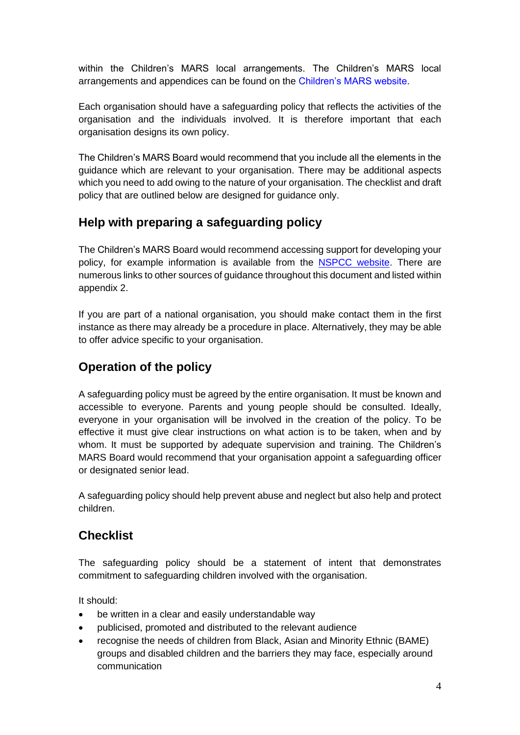within the Children's MARS local arrangements. The Children's MARS local arrangements and appendices can be found on the Children's MARS website.

Each organisation should have a safeguarding policy that reflects the activities of the organisation and the individuals involved. It is therefore important that each organisation designs its own policy.

The Children's MARS Board would recommend that you include all the elements in the guidance which are relevant to your organisation. There may be additional aspects which you need to add owing to the nature of your organisation. The checklist and draft policy that are outlined below are designed for guidance only.

## <span id="page-3-0"></span>**Help with preparing a safeguarding policy**

The Children's MARS Board would recommend accessing support for developing your policy, for example information is available from the [NSPCC website.](http://www.nspcc.org.uk/inform) There are numerous links to other sources of guidance throughout this document and listed within appendix 2.

If you are part of a national organisation, you should make contact them in the first instance as there may already be a procedure in place. Alternatively, they may be able to offer advice specific to your organisation.

## <span id="page-3-1"></span>**Operation of the policy**

A safeguarding policy must be agreed by the entire organisation. It must be known and accessible to everyone. Parents and young people should be consulted. Ideally, everyone in your organisation will be involved in the creation of the policy. To be effective it must give clear instructions on what action is to be taken, when and by whom. It must be supported by adequate supervision and training. The Children's MARS Board would recommend that your organisation appoint a safeguarding officer or designated senior lead.

A safeguarding policy should help prevent abuse and neglect but also help and protect children.

### <span id="page-3-2"></span>**Checklist**

The safeguarding policy should be a statement of intent that demonstrates commitment to safeguarding children involved with the organisation.

It should:

- be written in a clear and easily understandable way
- publicised, promoted and distributed to the relevant audience
- recognise the needs of children from Black, Asian and Minority Ethnic (BAME) groups and disabled children and the barriers they may face, especially around communication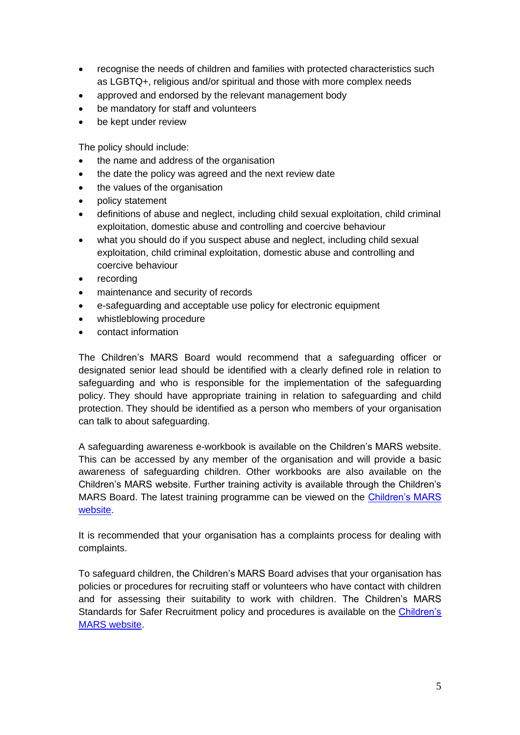- recognise the needs of children and families with protected characteristics such as LGBTQ+, religious and/or spiritual and those with more complex needs
- approved and endorsed by the relevant management body
- be mandatory for staff and volunteers
- be kept under review

The policy should include:

- the name and address of the organisation
- the date the policy was agreed and the next review date
- the values of the organisation
- policy statement
- definitions of abuse and neglect, including child sexual exploitation, child criminal exploitation, domestic abuse and controlling and coercive behaviour
- what you should do if you suspect abuse and neglect, including child sexual exploitation, child criminal exploitation, domestic abuse and controlling and coercive behaviour
- recording
- maintenance and security of records
- e-safeguarding and acceptable use policy for electronic equipment
- whistleblowing procedure
- contact information

The Children's MARS Board would recommend that a safeguarding officer or designated senior lead should be identified with a clearly defined role in relation to safeguarding and who is responsible for the implementation of the safeguarding policy. They should have appropriate training in relation to safeguarding and child protection. They should be identified as a person who members of your organisation can talk to about safeguarding.

A safeguarding awareness e-workbook is available on the Children's MARS website. This can be accessed by any member of the organisation and will provide a basic awareness of safeguarding children. Other workbooks are also available on the Children's MARS website. Further training activity is available through the Children's MARS Board. The latest training programme can be viewed on the Children's MARS [website.](http://www.northlincscmars.co.uk/training/)

It is recommended that your organisation has a complaints process for dealing with complaints.

To safeguard children, the Children's MARS Board advises that your organisation has policies or procedures for recruiting staff or volunteers who have contact with children and for assessing their suitability to work with children. The Children's MARS Standards for Safer Recruitment policy and procedures is available on the [Children's](https://www.northlincscmars.co.uk/policies-procedures-and-guidance/)  [MARS website.](https://www.northlincscmars.co.uk/policies-procedures-and-guidance/)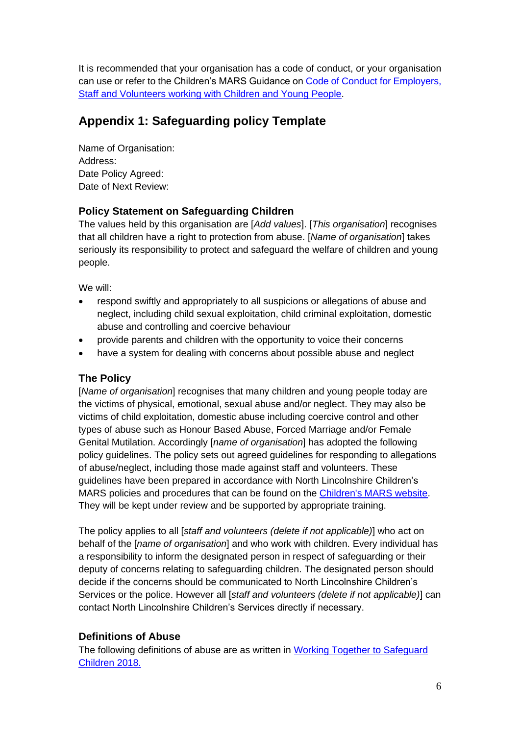It is recommended that your organisation has a code of conduct, or your organisation can use or refer to the Children's MARS Guidance on [Code of Conduct for Employers,](https://www.northlincscmars.co.uk/policies-procedures-and-guidance/)  [Staff and Volunteers working with Children and Young People.](https://www.northlincscmars.co.uk/policies-procedures-and-guidance/)

## <span id="page-5-0"></span>**Appendix 1: Safeguarding policy Template**

Name of Organisation: Address: Date Policy Agreed: Date of Next Review:

#### **Policy Statement on Safeguarding Children**

The values held by this organisation are [*Add values*]. [*This organisation*] recognises that all children have a right to protection from abuse. [*Name of organisation*] takes seriously its responsibility to protect and safeguard the welfare of children and young people.

We will:

- respond swiftly and appropriately to all suspicions or allegations of abuse and neglect, including child sexual exploitation, child criminal exploitation, domestic abuse and controlling and coercive behaviour
- provide parents and children with the opportunity to voice their concerns
- have a system for dealing with concerns about possible abuse and neglect

#### **The Policy**

[*Name of organisation*] recognises that many children and young people today are the victims of physical, emotional, sexual abuse and/or neglect. They may also be victims of child exploitation, domestic abuse including coercive control and other types of abuse such as Honour Based Abuse, Forced Marriage and/or Female Genital Mutilation. Accordingly [*name of organisation*] has adopted the following policy guidelines. The policy sets out agreed guidelines for responding to allegations of abuse/neglect, including those made against staff and volunteers. These guidelines have been prepared in accordance with North Lincolnshire Children's MARS policies and procedures that can be found on the [Children's MARS website.](http://www.northlincscmars.co.uk/policies-procedures-and-guidance/) They will be kept under review and be supported by appropriate training.

The policy applies to all [*staff and volunteers (delete if not applicable)*] who act on behalf of the [*name of organisation*] and who work with children. Every individual has a responsibility to inform the designated person in respect of safeguarding or their deputy of concerns relating to safeguarding children. The designated person should decide if the concerns should be communicated to North Lincolnshire Children's Services or the police. However all [*staff and volunteers (delete if not applicable)*] can contact North Lincolnshire Children's Services directly if necessary.

#### **Definitions of Abuse**

The following definitions of abuse are as written in [Working Together to Safeguard](https://www.gov.uk/government/publications/working-together-to-safeguard-children--2)  [Children 2018.](https://www.gov.uk/government/publications/working-together-to-safeguard-children--2)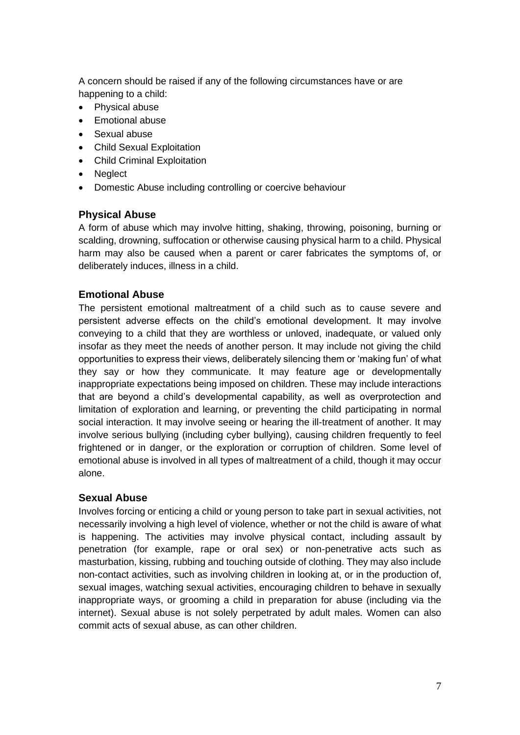A concern should be raised if any of the following circumstances have or are happening to a child:

- Physical abuse
- Emotional abuse
- Sexual abuse
- Child Sexual Exploitation
- Child Criminal Exploitation
- Neglect
- Domestic Abuse including controlling or coercive behaviour

#### **Physical Abuse**

A form of abuse which may involve hitting, shaking, throwing, poisoning, burning or scalding, drowning, suffocation or otherwise causing physical harm to a child. Physical harm may also be caused when a parent or carer fabricates the symptoms of, or deliberately induces, illness in a child.

#### **Emotional Abuse**

The persistent emotional maltreatment of a child such as to cause severe and persistent adverse effects on the child's emotional development. It may involve conveying to a child that they are worthless or unloved, inadequate, or valued only insofar as they meet the needs of another person. It may include not giving the child opportunities to express their views, deliberately silencing them or 'making fun' of what they say or how they communicate. It may feature age or developmentally inappropriate expectations being imposed on children. These may include interactions that are beyond a child's developmental capability, as well as overprotection and limitation of exploration and learning, or preventing the child participating in normal social interaction. It may involve seeing or hearing the ill-treatment of another. It may involve serious bullying (including cyber bullying), causing children frequently to feel frightened or in danger, or the exploration or corruption of children. Some level of emotional abuse is involved in all types of maltreatment of a child, though it may occur alone.

#### **Sexual Abuse**

Involves forcing or enticing a child or young person to take part in sexual activities, not necessarily involving a high level of violence, whether or not the child is aware of what is happening. The activities may involve physical contact, including assault by penetration (for example, rape or oral sex) or non-penetrative acts such as masturbation, kissing, rubbing and touching outside of clothing. They may also include non-contact activities, such as involving children in looking at, or in the production of, sexual images, watching sexual activities, encouraging children to behave in sexually inappropriate ways, or grooming a child in preparation for abuse (including via the internet). Sexual abuse is not solely perpetrated by adult males. Women can also commit acts of sexual abuse, as can other children.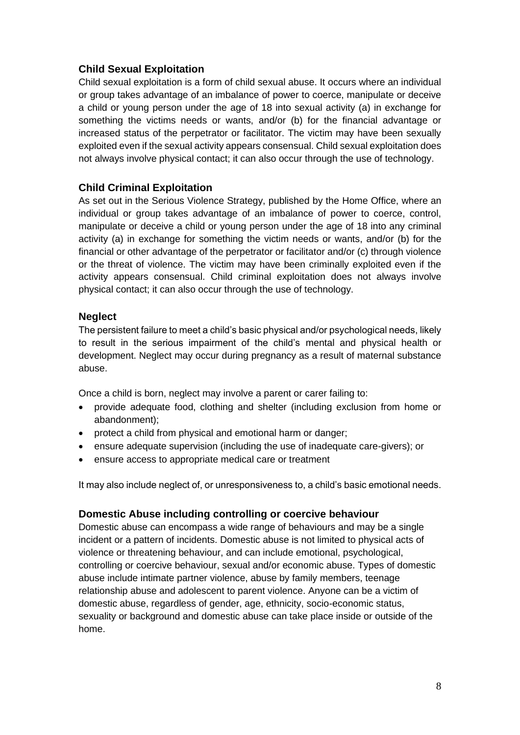#### **Child Sexual Exploitation**

Child sexual exploitation is a form of child sexual abuse. It occurs where an individual or group takes advantage of an imbalance of power to coerce, manipulate or deceive a child or young person under the age of 18 into sexual activity (a) in exchange for something the victims needs or wants, and/or (b) for the financial advantage or increased status of the perpetrator or facilitator. The victim may have been sexually exploited even if the sexual activity appears consensual. Child sexual exploitation does not always involve physical contact; it can also occur through the use of technology.

#### **Child Criminal Exploitation**

As set out in the Serious Violence Strategy, published by the Home Office, where an individual or group takes advantage of an imbalance of power to coerce, control, manipulate or deceive a child or young person under the age of 18 into any criminal activity (a) in exchange for something the victim needs or wants, and/or (b) for the financial or other advantage of the perpetrator or facilitator and/or (c) through violence or the threat of violence. The victim may have been criminally exploited even if the activity appears consensual. Child criminal exploitation does not always involve physical contact; it can also occur through the use of technology.

#### **Neglect**

The persistent failure to meet a child's basic physical and/or psychological needs, likely to result in the serious impairment of the child's mental and physical health or development. Neglect may occur during pregnancy as a result of maternal substance abuse.

Once a child is born, neglect may involve a parent or carer failing to:

- provide adequate food, clothing and shelter (including exclusion from home or abandonment);
- protect a child from physical and emotional harm or danger;
- ensure adequate supervision (including the use of inadequate care-givers); or
- ensure access to appropriate medical care or treatment

It may also include neglect of, or unresponsiveness to, a child's basic emotional needs.

#### **Domestic Abuse including controlling or coercive behaviour**

Domestic abuse can encompass a wide range of behaviours and may be a single incident or a pattern of incidents. Domestic abuse is not limited to physical acts of violence or threatening behaviour, and can include emotional, psychological, controlling or coercive behaviour, sexual and/or economic abuse. Types of domestic abuse include intimate partner violence, abuse by family members, teenage relationship abuse and adolescent to parent violence. Anyone can be a victim of domestic abuse, regardless of gender, age, ethnicity, socio-economic status, sexuality or background and domestic abuse can take place inside or outside of the home.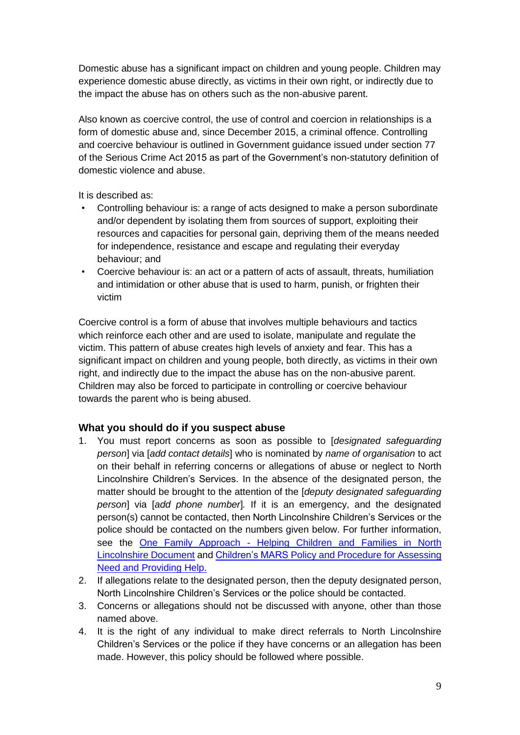Domestic abuse has a significant impact on children and young people. Children may experience domestic abuse directly, as victims in their own right, or indirectly due to the impact the abuse has on others such as the non-abusive parent.

Also known as coercive control, the use of control and coercion in relationships is a form of domestic abuse and, since December 2015, a criminal offence. Controlling and coercive behaviour is outlined in Government guidance issued under section 77 of the Serious Crime Act 2015 as part of the Government's non-statutory definition of domestic violence and abuse.

It is described as:

- Controlling behaviour is: a range of acts designed to make a person subordinate and/or dependent by isolating them from sources of support, exploiting their resources and capacities for personal gain, depriving them of the means needed for independence, resistance and escape and regulating their everyday behaviour; and
- Coercive behaviour is: an act or a pattern of acts of assault, threats, humiliation and intimidation or other abuse that is used to harm, punish, or frighten their victim

Coercive control is a form of abuse that involves multiple behaviours and tactics which reinforce each other and are used to isolate, manipulate and regulate the victim. This pattern of abuse creates high levels of anxiety and fear. This has a significant impact on children and young people, both directly, as victims in their own right, and indirectly due to the impact the abuse has on the non-abusive parent. Children may also be forced to participate in controlling or coercive behaviour towards the parent who is being abused.

#### **What you should do if you suspect abuse**

- 1. You must report concerns as soon as possible to [*designated safeguarding person*] via [*add contact details*] who is nominated by *name of organisation* to act on their behalf in referring concerns or allegations of abuse or neglect to North Lincolnshire Children's Services. In the absence of the designated person, the matter should be brought to the attention of the [*deputy designated safeguarding person*] via [*add phone number*]*.* If it is an emergency, and the designated person(s) cannot be contacted, then North Lincolnshire Children's Services or the police should be contacted on the numbers given below. For further information, see the One Family Approach - [Helping Children and Families](https://www.northlincscmars.co.uk/policies-procedures-and-guidance/) in North [Lincolnshire Document](https://www.northlincscmars.co.uk/policies-procedures-and-guidance/) and Children's MARS [Policy and Procedure](https://www.northlincscmars.co.uk/policies-procedures-and-guidance/) for Assessing [Need and Providing Help.](https://www.northlincscmars.co.uk/policies-procedures-and-guidance/)
- 2. If allegations relate to the designated person, then the deputy designated person, North Lincolnshire Children's Services or the police should be contacted.
- 3. Concerns or allegations should not be discussed with anyone, other than those named above.
- 4. It is the right of any individual to make direct referrals to North Lincolnshire Children's Services or the police if they have concerns or an allegation has been made. However, this policy should be followed where possible.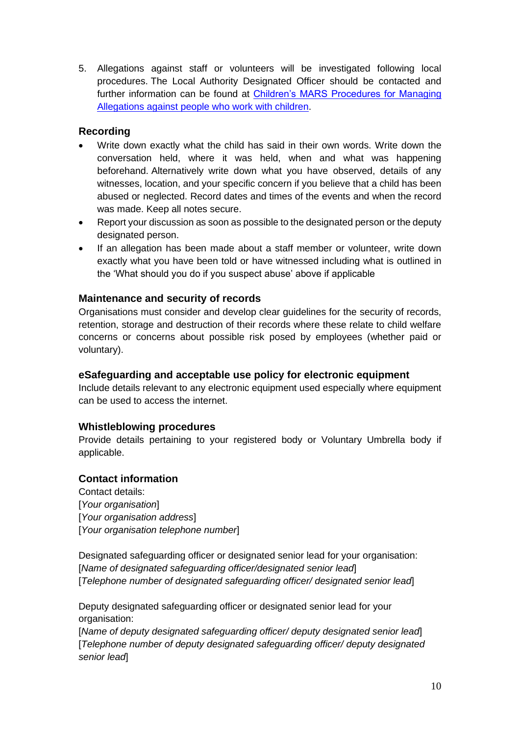5. Allegations against staff or volunteers will be investigated following local procedures. The Local Authority Designated Officer should be contacted and further information can be found at [Children's MARS Procedures for Managing](http://www.northlincscmars.co.uk/policies-procedures-and-guidance/)  [Allegations against people who work with children.](http://www.northlincscmars.co.uk/policies-procedures-and-guidance/)

#### **Recording**

- Write down exactly what the child has said in their own words. Write down the conversation held, where it was held, when and what was happening beforehand. Alternatively write down what you have observed, details of any witnesses, location, and your specific concern if you believe that a child has been abused or neglected. Record dates and times of the events and when the record was made. Keep all notes secure.
- Report your discussion as soon as possible to the designated person or the deputy designated person.
- If an allegation has been made about a staff member or volunteer, write down exactly what you have been told or have witnessed including what is outlined in the 'What should you do if you suspect abuse' above if applicable

#### **Maintenance and security of records**

Organisations must consider and develop clear guidelines for the security of records, retention, storage and destruction of their records where these relate to child welfare concerns or concerns about possible risk posed by employees (whether paid or voluntary).

#### **eSafeguarding and acceptable use policy for electronic equipment**

Include details relevant to any electronic equipment used especially where equipment can be used to access the internet.

#### **Whistleblowing procedures**

Provide details pertaining to your registered body or Voluntary Umbrella body if applicable.

#### **Contact information**

Contact details: [*Your organisation*] [*Your organisation address*] [*Your organisation telephone number*]

Designated safeguarding officer or designated senior lead for your organisation: [*Name of designated safeguarding officer/designated senior lead*] [*Telephone number of designated safeguarding officer/ designated senior lead*]

Deputy designated safeguarding officer or designated senior lead for your organisation:

[*Name of deputy designated safeguarding officer/ deputy designated senior lead*] [*Telephone number of deputy designated safeguarding officer/ deputy designated senior lead*]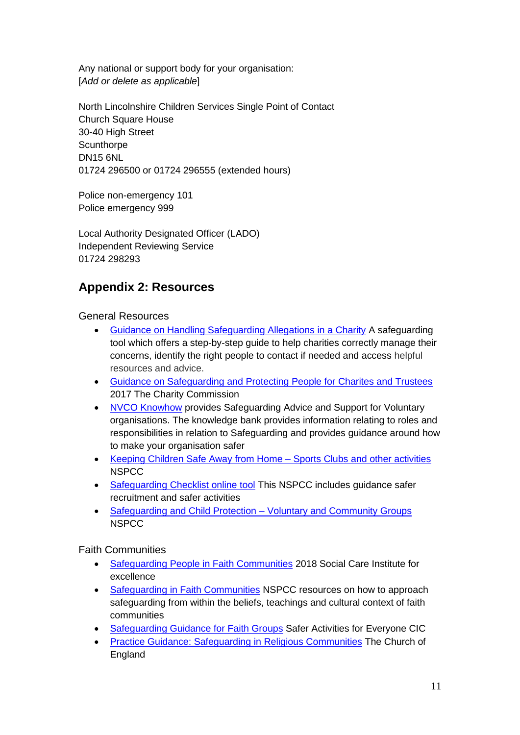Any national or support body for your organisation: [*Add or delete as applicable*]

North Lincolnshire Children Services Single Point of Contact Church Square House 30-40 High Street **Scunthorpe** DN15 6NL 01724 296500 or 01724 296555 (extended hours)

Police non-emergency 101 Police emergency 999

Local Authority Designated Officer (LADO) Independent Reviewing Service 01724 298293

## <span id="page-10-0"></span>**Appendix 2: Resources**

General Resources

- [Guidance on Handling Safeguarding Allegations in a Charity](https://safeguarding.culture.gov.uk/) A safeguarding tool which offers a step-by-step guide to help charities correctly manage their concerns, identify the right people to contact if needed and access helpful resources and advice.
- [Guidance on Safeguarding and Protecting People for Charites and Trustees](https://www.gov.uk/guidance/safeguarding-duties-for-charity-trustees) 2017 The Charity Commission
- [NVCO Knowhow](https://knowhow.ncvo.org.uk/safeguarding) provides Safeguarding Advice and Support for Voluntary organisations. The knowledge bank provides information relating to roles and responsibilities in relation to Safeguarding and provides guidance around how to make your organisation safer
- [Keeping Children Safe Away from Home –](https://www.nspcc.org.uk/keeping-children-safe/away-from-home/sports-clubs-activities/) Sports Clubs and other activities NSPCC
- [Safeguarding Checklist online tool](https://learning.nspcc.org.uk/safeguarding-checklist/?_ga=2.84893785.134035777.1582024756-1871836134.1582024756) This NSPCC includes guidance safer recruitment and safer activities
- [Safeguarding and Child Protection –](https://learning.nspcc.org.uk/safeguarding-child-protection/voluntary-community-groups/) Voluntary and Community Groups **NSPCC**

Faith Communities

- [Safeguarding People in Faith Communities](https://www.scie.org.uk/safeguarding/faith-groups/communities) 2018 Social Care Institute for excellence
- [Safeguarding in Faith Communities](https://learning.nspcc.org.uk/safeguarding-child-protection/for-faith-communities/) NSPCC resources on how to approach safeguarding from within the beliefs, teachings and cultural context of faith communities
- [Safeguarding Guidance for Faith Groups](https://www.safechilduk.info/faith/faithhome.html) Safer Activities for Everyone CIC
- [Practice Guidance: Safeguarding in Religious Communities](https://www.churchofengland.org/sites/default/files/2017-11/safeguarding%20in%20religious%20communities%20practice%20guidance.pdf) The Church of **England**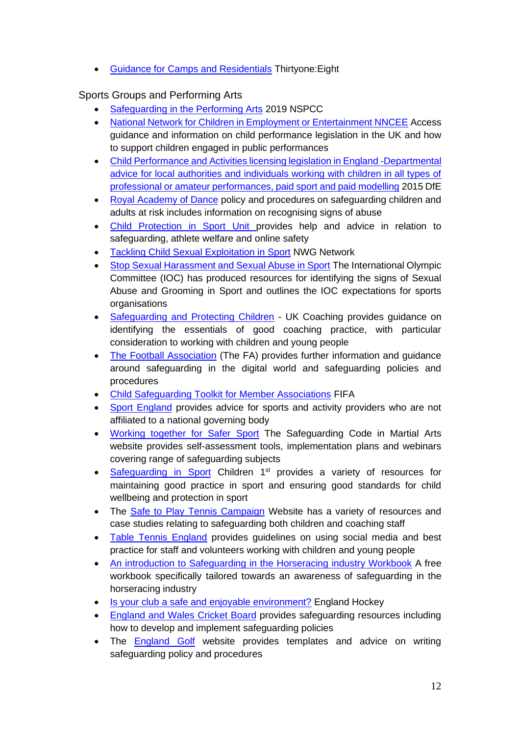• [Guidance for Camps and Residentials](https://thirtyoneeight.org/media/2526/guidance-for-camps-and-residentials.pdf) Thirtyone:Eight

#### Sports Groups and Performing Arts

- [Safeguarding in the Performing Arts](https://learning.nspcc.org.uk/safeguarding-child-protection/for-performing-arts/) 2019 NSPCC
- [National Network for Children in Employment or Entertainment NNCEE](https://www.nncee.org.uk/) Access guidance and information on child performance legislation in the UK and how to support children engaged in public performances
- Child Performance and Activities licensing legislation in England -Departmental [advice for local authorities and individuals working with children in all types of](https://assets.publishing.service.gov.uk/government/uploads/system/uploads/attachment_data/file/401345/Child_performance_and_activities_licensing_legislation_in_England_-_departmental_advice_-_final.pdf)  [professional or amateur performances, paid sport and paid modelling](https://assets.publishing.service.gov.uk/government/uploads/system/uploads/attachment_data/file/401345/Child_performance_and_activities_licensing_legislation_in_England_-_departmental_advice_-_final.pdf) 2015 DfE
- [Royal Academy of Dance](https://media.royalacademyofdance.org/media/2019/12/04155653/RAD-Safeguarding-Policy-and-Procedures-19_20_3_9-19.pdf) policy and procedures on safeguarding children and adults at risk includes information on recognising signs of abuse
- [Child Protection in Sport Unit p](https://thecpsu.org.uk/help-advice/topics/online-safety/)rovides help and advice in relation to safeguarding, athlete welfare and online safety
- [Tackling Child Sexual Exploitation in Sport](https://www.nwgnetwork.org/safeguarding-in-sport/) NWG Network
- [Stop Sexual Harassment and Sexual Abuse in Sport](https://www.olympic.org/sha#what-is-sha) The International Olympic Committee (IOC) has produced resources for identifying the signs of Sexual Abuse and Grooming in Sport and outlines the IOC expectations for sports **organisations**
- [Safeguarding and Protecting Children](https://www.ukcoaching.org/resources/topics/guides/safeguarding-and-protecting-children-%E2%80%93-frequently) UK Coaching provides guidance on identifying the essentials of good coaching practice, with particular consideration to working with children and young people
- [The Football Association](http://www.thefa.com/football-rules-governance/safeguarding) (The FA) provides further information and quidance around safeguarding in the digital world and safeguarding policies and procedures
- [Child Safeguarding Toolkit for Member Associations](https://resources.fifa.com/image/upload/toolkit-fifa-guardians.pdf?cloudid=nz1lyz3ykaioy7gwfmgs) FIFA
- [Sport England](https://www.sportengland.org/how-we-can-help/safeguarding/safeguarding-martial-arts) provides advice for sports and activity providers who are not affiliated to a national governing body
- [Working together for Safer Sport](https://www.safeguardingcode.com/help-and-support) The Safeguarding Code in Martial Arts website provides self-assessment tools, implementation plans and webinars covering range of safeguarding subjects
- [Safeguarding in](https://www.children1st.org.uk/help-for-families/safeguarding-in-sport/safeguarding-in-sport-resources/) Sport Children 1<sup>st</sup> provides a variety of resources for maintaining good practice in sport and ensuring good standards for child wellbeing and protection in sport
- The [Safe to Play Tennis Campaign](https://www.safetoplaytennis.co.uk/) Website has a variety of resources and case studies relating to safeguarding both children and coaching staff
- [Table Tennis England](https://tabletennisengland.co.uk/our-sport/safeguarding/) provides guidelines on using social media and best practice for staff and volunteers working with children and young people
- [An introduction to Safeguarding in the Horseracing industry Workbook](https://www.britishhorseracing.com/wp-content/uploads/2018/12/Safeguarding-in-the-racing-industry.pdf) A free workbook specifically tailored towards an awareness of safeguarding in the horseracing industry
- [Is your club a safe and enjoyable environment?](http://www.englandhockey.co.uk/page.asp?section=1788§ionTitle=Is+Your+Club+A+Safe+%26+Enjoyable+Environment%3Fhttp://www.englandhockey.co.uk/page.asp?section=1788§ionTitle=Is+Your+Club+A+Safe+%26+Enjoyable+Environment%3F) England Hockey
- [England and Wales Cricket Board](https://www.ecb.co.uk/safeguarding/safeguarding-resources) provides safeguarding resources including how to develop and implement safeguarding policies
- The [England Golf](https://www.englandgolf.org/article/be-a-safegolf-club/) website provides templates and advice on writing safeguarding policy and procedures